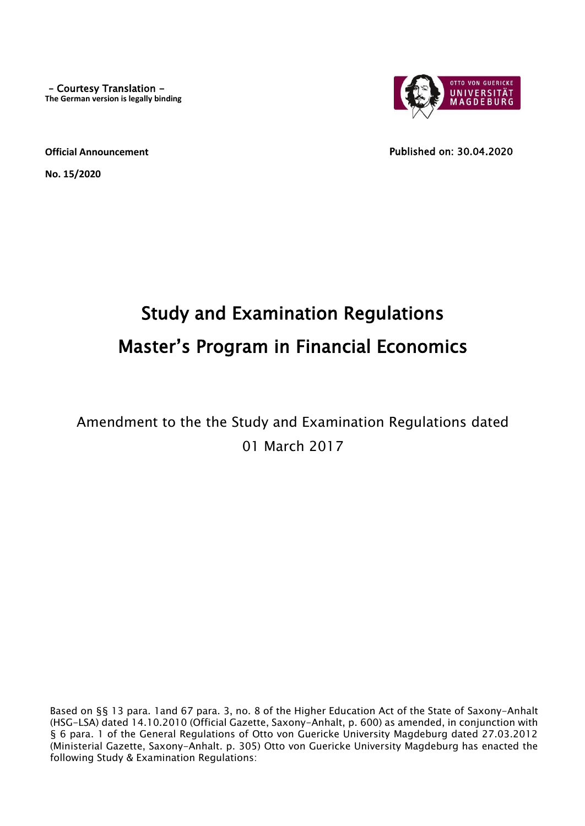– Courtesy Translation - **The German version is legally binding**



**Official Announcement**

**No. 15/2020**

Published on: 30.04.2020

# Study and Examination Regulations Master's Program in Financial Economics

## Amendment to the the Study and Examination Regulations dated 01 March 2017

Based on §§ 13 para. 1and 67 para. 3, no. 8 of the Higher Education Act of the State of Saxony-Anhalt (HSG-LSA) dated 14.10.2010 (Official Gazette, Saxony-Anhalt, p. 600) as amended, in conjunction with § 6 para. 1 of the General Regulations of Otto von Guericke University Magdeburg dated 27.03.2012 (Ministerial Gazette, Saxony-Anhalt. p. 305) Otto von Guericke University Magdeburg has enacted the following Study & Examination Regulations: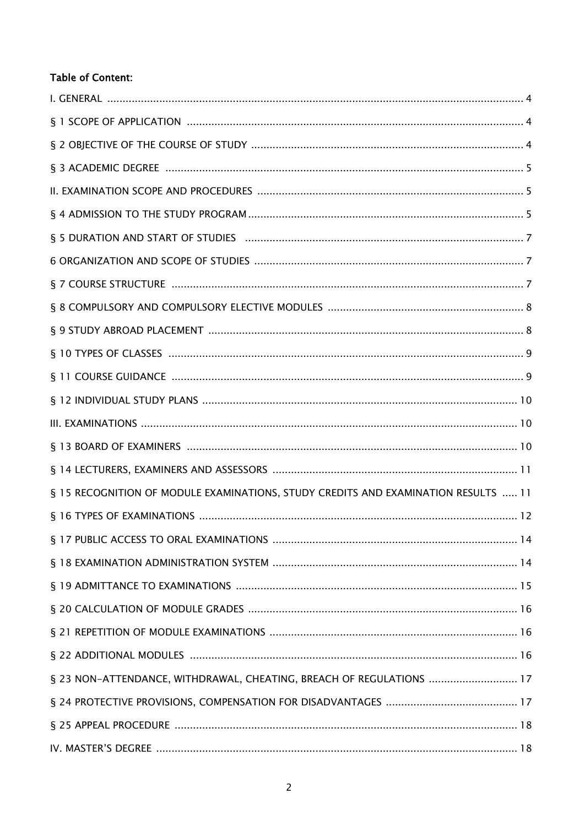## **Table of Content:**

| § 15 RECOGNITION OF MODULE EXAMINATIONS, STUDY CREDITS AND EXAMINATION RESULTS  11 |
|------------------------------------------------------------------------------------|
|                                                                                    |
|                                                                                    |
|                                                                                    |
|                                                                                    |
|                                                                                    |
|                                                                                    |
|                                                                                    |
| § 23 NON-ATTENDANCE, WITHDRAWAL, CHEATING, BREACH OF REGULATIONS  17               |
|                                                                                    |
|                                                                                    |
|                                                                                    |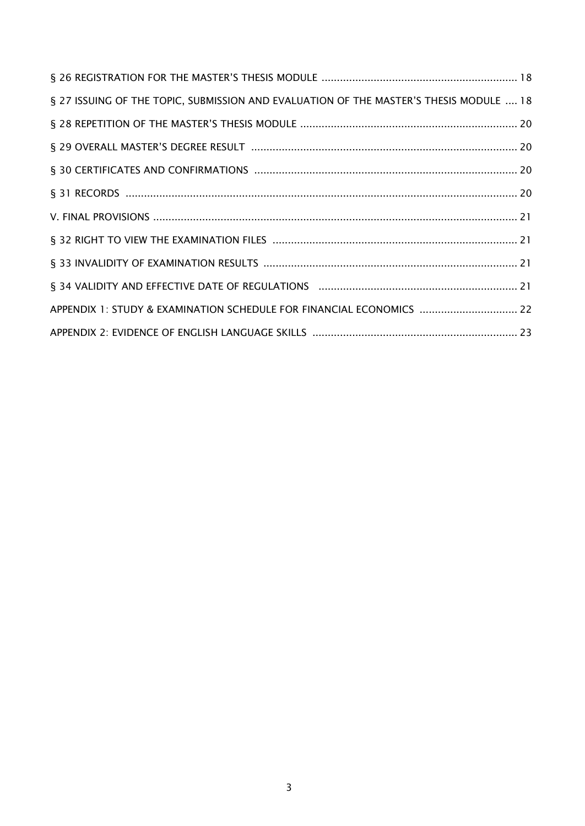| § 27 ISSUING OF THE TOPIC, SUBMISSION AND EVALUATION OF THE MASTER'S THESIS MODULE  18 |  |
|----------------------------------------------------------------------------------------|--|
|                                                                                        |  |
|                                                                                        |  |
|                                                                                        |  |
|                                                                                        |  |
|                                                                                        |  |
|                                                                                        |  |
|                                                                                        |  |
|                                                                                        |  |
| APPENDIX 1: STUDY & EXAMINATION SCHEDULE FOR FINANCIAL ECONOMICS  22                   |  |
|                                                                                        |  |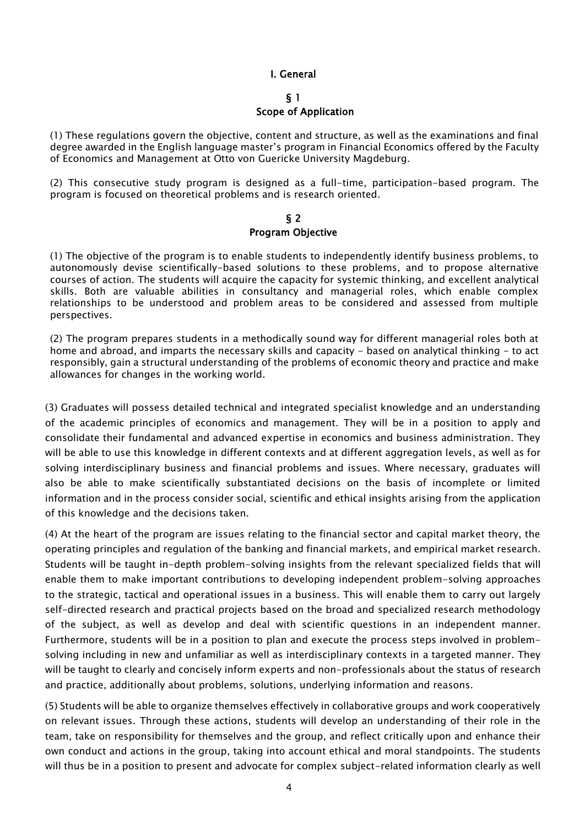#### I. General

#### § 1

#### Scope of Application

(1) These regulations govern the objective, content and structure, as well as the examinations and final degree awarded in the English language master's program in Financial Economics offered by the Faculty of Economics and Management at Otto von Guericke University Magdeburg.

(2) This consecutive study program is designed as a full-time, participation-based program. The program is focused on theoretical problems and is research oriented.

#### § 2 Program Objective

(1) The objective of the program is to enable students to independently identify business problems, to autonomously devise scientifically-based solutions to these problems, and to propose alternative courses of action. The students will acquire the capacity for systemic thinking, and excellent analytical skills. Both are valuable abilities in consultancy and managerial roles, which enable complex relationships to be understood and problem areas to be considered and assessed from multiple perspectives.

(2) The program prepares students in a methodically sound way for different managerial roles both at home and abroad, and imparts the necessary skills and capacity - based on analytical thinking - to act responsibly, gain a structural understanding of the problems of economic theory and practice and make allowances for changes in the working world.

(3) Graduates will possess detailed technical and integrated specialist knowledge and an understanding of the academic principles of economics and management. They will be in a position to apply and consolidate their fundamental and advanced expertise in economics and business administration. They will be able to use this knowledge in different contexts and at different aggregation levels, as well as for solving interdisciplinary business and financial problems and issues. Where necessary, graduates will also be able to make scientifically substantiated decisions on the basis of incomplete or limited information and in the process consider social, scientific and ethical insights arising from the application of this knowledge and the decisions taken.

(4) At the heart of the program are issues relating to the financial sector and capital market theory, the operating principles and regulation of the banking and financial markets, and empirical market research. Students will be taught in-depth problem-solving insights from the relevant specialized fields that will enable them to make important contributions to developing independent problem-solving approaches to the strategic, tactical and operational issues in a business. This will enable them to carry out largely self-directed research and practical projects based on the broad and specialized research methodology of the subject, as well as develop and deal with scientific questions in an independent manner. Furthermore, students will be in a position to plan and execute the process steps involved in problemsolving including in new and unfamiliar as well as interdisciplinary contexts in a targeted manner. They will be taught to clearly and concisely inform experts and non-professionals about the status of research and practice, additionally about problems, solutions, underlying information and reasons.

(5) Students will be able to organize themselves effectively in collaborative groups and work cooperatively on relevant issues. Through these actions, students will develop an understanding of their role in the team, take on responsibility for themselves and the group, and reflect critically upon and enhance their own conduct and actions in the group, taking into account ethical and moral standpoints. The students will thus be in a position to present and advocate for complex subject-related information clearly as well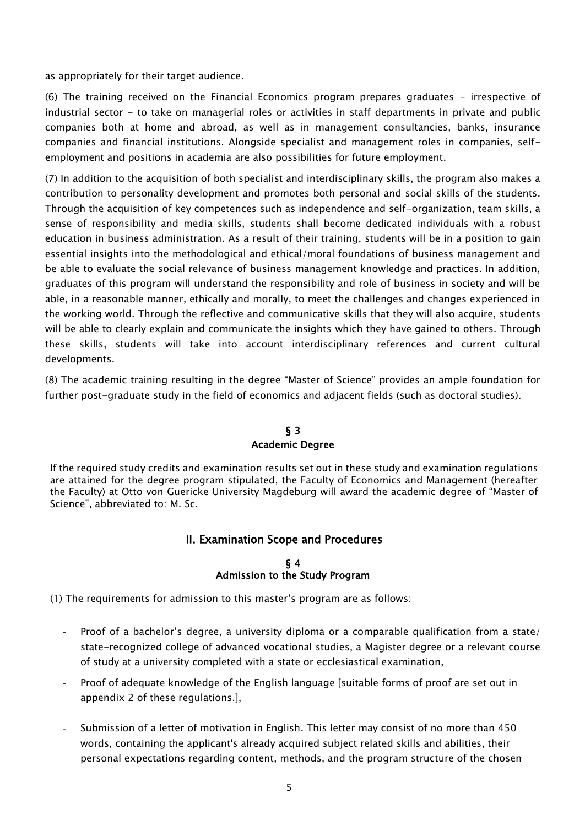as appropriately for their target audience.

(6) The training received on the Financial Economics program prepares graduates - irrespective of industrial sector - to take on managerial roles or activities in staff departments in private and public companies both at home and abroad, as well as in management consultancies, banks, insurance companies and financial institutions. Alongside specialist and management roles in companies, selfemployment and positions in academia are also possibilities for future employment.

(7) In addition to the acquisition of both specialist and interdisciplinary skills, the program also makes a contribution to personality development and promotes both personal and social skills of the students. Through the acquisition of key competences such as independence and self-organization, team skills, a sense of responsibility and media skills, students shall become dedicated individuals with a robust education in business administration. As a result of their training, students will be in a position to gain essential insights into the methodological and ethical/moral foundations of business management and be able to evaluate the social relevance of business management knowledge and practices. In addition, graduates of this program will understand the responsibility and role of business in society and will be able, in a reasonable manner, ethically and morally, to meet the challenges and changes experienced in the working world. Through the reflective and communicative skills that they will also acquire, students will be able to clearly explain and communicate the insights which they have gained to others. Through these skills, students will take into account interdisciplinary references and current cultural developments.

(8) The academic training resulting in the degree "Master of Science" provides an ample foundation for further post-graduate study in the field of economics and adjacent fields (such as doctoral studies).

#### § 3 Academic Degree

If the required study credits and examination results set out in these study and examination regulations are attained for the degree program stipulated, the Faculty of Economics and Management (hereafter the Faculty) at Otto von Guericke University Magdeburg will award the academic degree of "Master of Science", abbreviated to: M. Sc.

## II. Examination Scope and Procedures

#### § 4 Admission to the Study Program

(1) The requirements for admission to this master's program are as follows:

- Proof of a bachelor's degree, a university diploma or a comparable qualification from a state/ state-recognized college of advanced vocational studies, a Magister degree or a relevant course of study at a university completed with a state or ecclesiastical examination,
- Proof of adequate knowledge of the English language [suitable forms of proof are set out in appendix 2 of these regulations.],
- Submission of a letter of motivation in English. This letter may consist of no more than 450 words, containing the applicant's already acquired subject related skills and abilities, their personal expectations regarding content, methods, and the program structure of the chosen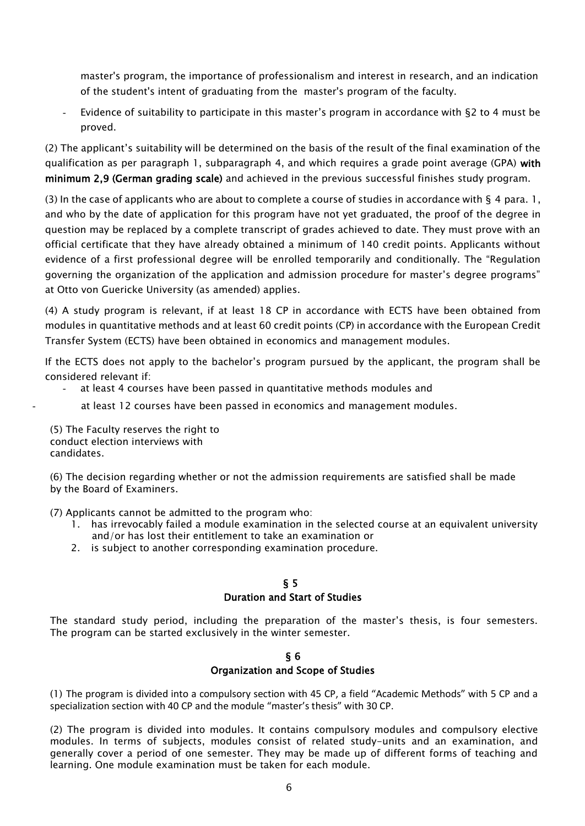master's program, the importance of professionalism and interest in research, and an indication of the student's intent of graduating from the master's program of the faculty.

Evidence of suitability to participate in this master's program in accordance with §2 to 4 must be proved.

(2) The applicant's suitability will be determined on the basis of the result of the final examination of the qualification as per paragraph 1, subparagraph 4, and which requires a grade point average (GPA) with minimum 2,9 (German grading scale) and achieved in the previous successful finishes study program.

(3) In the case of applicants who are about to complete a course of studies in accordance with  $\S$  4 para. 1, and who by the date of application for this program have not yet graduated, the proof of the degree in question may be replaced by a complete transcript of grades achieved to date. They must prove with an official certificate that they have already obtained a minimum of 140 credit points. Applicants without evidence of a first professional degree will be enrolled temporarily and conditionally. The "Regulation governing the organization of the application and admission procedure for master's degree programs" at Otto von Guericke University (as amended) applies.

(4) A study program is relevant, if at least 18 CP in accordance with ECTS have been obtained from modules in quantitative methods and at least 60 credit points (CP) in accordance with the European Credit Transfer System (ECTS) have been obtained in economics and management modules.

If the ECTS does not apply to the bachelor's program pursued by the applicant, the program shall be considered relevant if:

- at least 4 courses have been passed in quantitative methods modules and
	- at least 12 courses have been passed in economics and management modules.

(5) The Faculty reserves the right to conduct election interviews with candidates.

(6) The decision regarding whether or not the admission requirements are satisfied shall be made by the Board of Examiners.

(7) Applicants cannot be admitted to the program who:

- 1. has irrevocably failed a module examination in the selected course at an equivalent university and/or has lost their entitlement to take an examination or
- 2. is subject to another corresponding examination procedure.

## § 5

#### Duration and Start of Studies

The standard study period, including the preparation of the master's thesis, is four semesters. The program can be started exclusively in the winter semester.

#### § 6 Organization and Scope of Studies

(1) The program is divided into a compulsory section with 45 CP, a field "Academic Methods" with 5 CP and a specialization section with 40 CP and the module "master's thesis" with 30 CP.

(2) The program is divided into modules. It contains compulsory modules and compulsory elective modules. In terms of subjects, modules consist of related study-units and an examination, and generally cover a period of one semester. They may be made up of different forms of teaching and learning. One module examination must be taken for each module.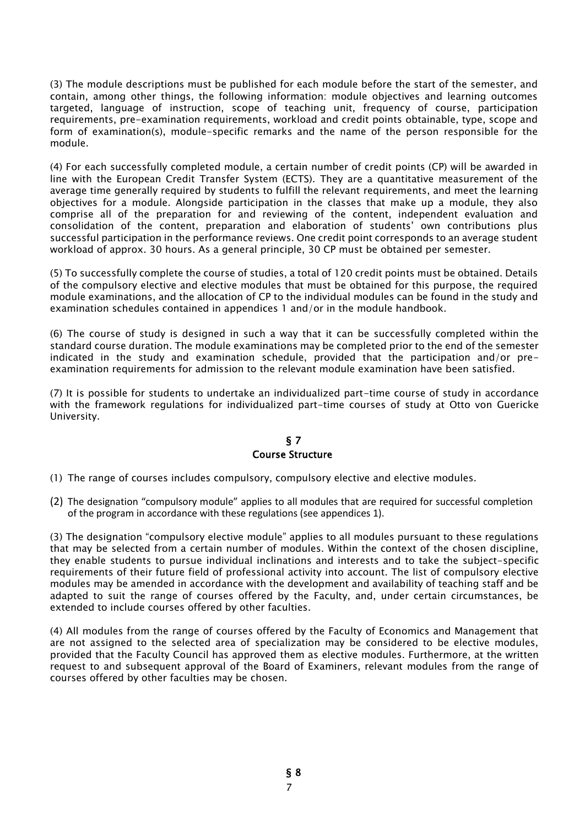(3) The module descriptions must be published for each module before the start of the semester, and contain, among other things, the following information: module objectives and learning outcomes targeted, language of instruction, scope of teaching unit, frequency of course, participation requirements, pre-examination requirements, workload and credit points obtainable, type, scope and form of examination(s), module-specific remarks and the name of the person responsible for the module.

(4) For each successfully completed module, a certain number of credit points (CP) will be awarded in line with the European Credit Transfer System (ECTS). They are a quantitative measurement of the average time generally required by students to fulfill the relevant requirements, and meet the learning objectives for a module. Alongside participation in the classes that make up a module, they also comprise all of the preparation for and reviewing of the content, independent evaluation and consolidation of the content, preparation and elaboration of students' own contributions plus successful participation in the performance reviews. One credit point corresponds to an average student workload of approx. 30 hours. As a general principle, 30 CP must be obtained per semester.

(5) To successfully complete the course of studies, a total of 120 credit points must be obtained. Details of the compulsory elective and elective modules that must be obtained for this purpose, the required module examinations, and the allocation of CP to the individual modules can be found in the study and examination schedules contained in appendices 1 and/or in the module handbook.

(6) The course of study is designed in such a way that it can be successfully completed within the standard course duration. The module examinations may be completed prior to the end of the semester indicated in the study and examination schedule, provided that the participation and/or preexamination requirements for admission to the relevant module examination have been satisfied.

(7) It is possible for students to undertake an individualized part-time course of study in accordance with the framework regulations for individualized part-time courses of study at Otto von Guericke University.

#### § 7 Course Structure

- (1) The range of courses includes compulsory, compulsory elective and elective modules.
- (2) The designation "compulsory module" applies to all modules that are required for successful completion of the program in accordance with these regulations (see appendices 1).

(3) The designation "compulsory elective module" applies to all modules pursuant to these regulations that may be selected from a certain number of modules. Within the context of the chosen discipline, they enable students to pursue individual inclinations and interests and to take the subject-specific requirements of their future field of professional activity into account. The list of compulsory elective modules may be amended in accordance with the development and availability of teaching staff and be adapted to suit the range of courses offered by the Faculty, and, under certain circumstances, be extended to include courses offered by other faculties.

(4) All modules from the range of courses offered by the Faculty of Economics and Management that are not assigned to the selected area of specialization may be considered to be elective modules, provided that the Faculty Council has approved them as elective modules. Furthermore, at the written request to and subsequent approval of the Board of Examiners, relevant modules from the range of courses offered by other faculties may be chosen.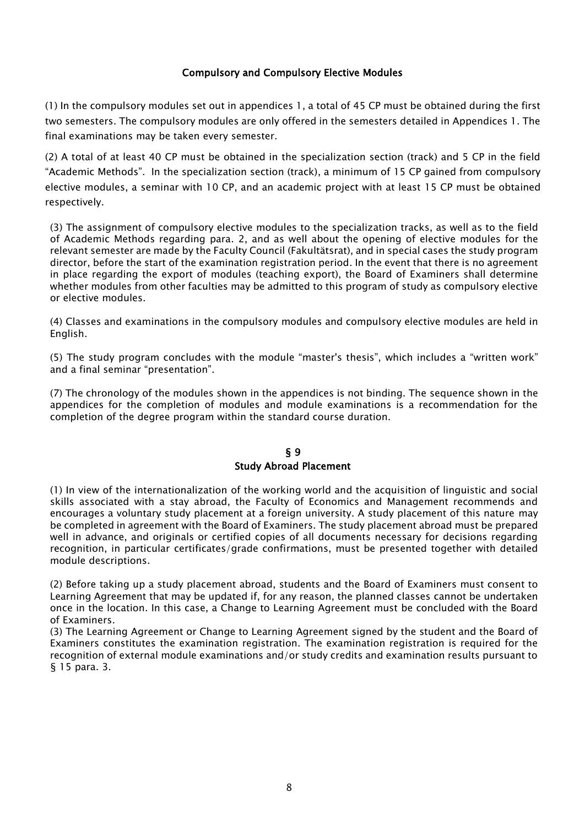#### Compulsory and Compulsory Elective Modules

(1) In the compulsory modules set out in appendices 1, a total of 45 CP must be obtained during the first two semesters. The compulsory modules are only offered in the semesters detailed in Appendices 1. The final examinations may be taken every semester.

(2) A total of at least 40 CP must be obtained in the specialization section (track) and 5 CP in the field "Academic Methods". In the specialization section (track), a minimum of 15 CP gained from compulsory elective modules, a seminar with 10 CP, and an academic project with at least 15 CP must be obtained respectively.

(3) The assignment of compulsory elective modules to the specialization tracks, as well as to the field of Academic Methods regarding para. 2, and as well about the opening of elective modules for the relevant semester are made by the Faculty Council (Fakultätsrat), and in special cases the study program director, before the start of the examination registration period. In the event that there is no agreement in place regarding the export of modules (teaching export), the Board of Examiners shall determine whether modules from other faculties may be admitted to this program of study as compulsory elective or elective modules.

(4) Classes and examinations in the compulsory modules and compulsory elective modules are held in English.

(5) The study program concludes with the module "master's thesis", which includes a "written work" and a final seminar "presentation".

(7) The chronology of the modules shown in the appendices is not binding. The sequence shown in the appendices for the completion of modules and module examinations is a recommendation for the completion of the degree program within the standard course duration.

#### § 9 Study Abroad Placement

(1) In view of the internationalization of the working world and the acquisition of linguistic and social skills associated with a stay abroad, the Faculty of Economics and Management recommends and encourages a voluntary study placement at a foreign university. A study placement of this nature may be completed in agreement with the Board of Examiners. The study placement abroad must be prepared well in advance, and originals or certified copies of all documents necessary for decisions regarding recognition, in particular certificates/grade confirmations, must be presented together with detailed module descriptions.

(2) Before taking up a study placement abroad, students and the Board of Examiners must consent to Learning Agreement that may be updated if, for any reason, the planned classes cannot be undertaken once in the location. In this case, a Change to Learning Agreement must be concluded with the Board of Examiners.

(3) The Learning Agreement or Change to Learning Agreement signed by the student and the Board of Examiners constitutes the examination registration. The examination registration is required for the recognition of external module examinations and/or study credits and examination results pursuant to § 15 para. 3.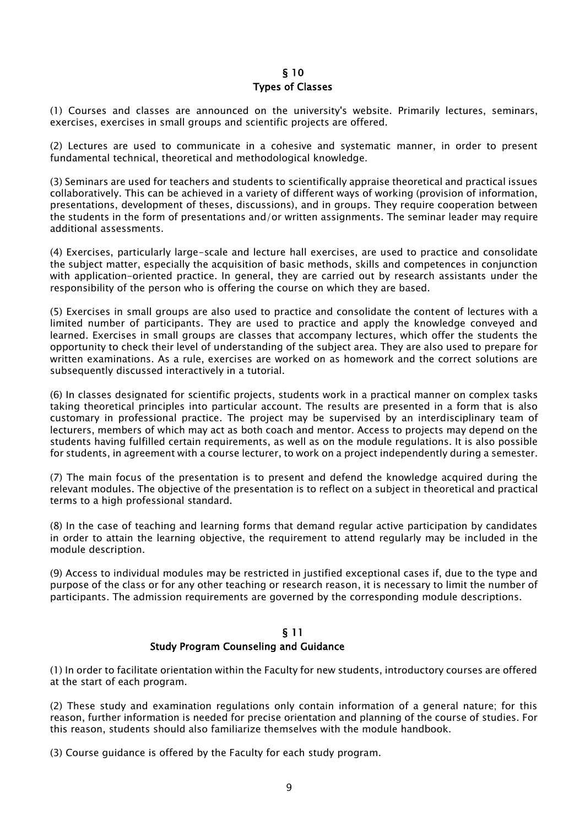#### § 10 Types of Classes

(1) Courses and classes are announced on the university's website. Primarily lectures, seminars, exercises, exercises in small groups and scientific projects are offered.

(2) Lectures are used to communicate in a cohesive and systematic manner, in order to present fundamental technical, theoretical and methodological knowledge.

(3) Seminars are used for teachers and students to scientifically appraise theoretical and practical issues collaboratively. This can be achieved in a variety of different ways of working (provision of information, presentations, development of theses, discussions), and in groups. They require cooperation between the students in the form of presentations and/or written assignments. The seminar leader may require additional assessments.

(4) Exercises, particularly large-scale and lecture hall exercises, are used to practice and consolidate the subject matter, especially the acquisition of basic methods, skills and competences in conjunction with application-oriented practice. In general, they are carried out by research assistants under the responsibility of the person who is offering the course on which they are based.

(5) Exercises in small groups are also used to practice and consolidate the content of lectures with a limited number of participants. They are used to practice and apply the knowledge conveyed and learned. Exercises in small groups are classes that accompany lectures, which offer the students the opportunity to check their level of understanding of the subject area. They are also used to prepare for written examinations. As a rule, exercises are worked on as homework and the correct solutions are subsequently discussed interactively in a tutorial.

(6) In classes designated for scientific projects, students work in a practical manner on complex tasks taking theoretical principles into particular account. The results are presented in a form that is also customary in professional practice. The project may be supervised by an interdisciplinary team of lecturers, members of which may act as both coach and mentor. Access to projects may depend on the students having fulfilled certain requirements, as well as on the module regulations. It is also possible for students, in agreement with a course lecturer, to work on a project independently during a semester.

(7) The main focus of the presentation is to present and defend the knowledge acquired during the relevant modules. The objective of the presentation is to reflect on a subject in theoretical and practical terms to a high professional standard.

(8) In the case of teaching and learning forms that demand regular active participation by candidates in order to attain the learning objective, the requirement to attend regularly may be included in the module description.

(9) Access to individual modules may be restricted in justified exceptional cases if, due to the type and purpose of the class or for any other teaching or research reason, it is necessary to limit the number of participants. The admission requirements are governed by the corresponding module descriptions.

#### § 11 Study Program Counseling and Guidance

(1) In order to facilitate orientation within the Faculty for new students, introductory courses are offered at the start of each program.

(2) These study and examination regulations only contain information of a general nature; for this reason, further information is needed for precise orientation and planning of the course of studies. For this reason, students should also familiarize themselves with the module handbook.

(3) Course guidance is offered by the Faculty for each study program.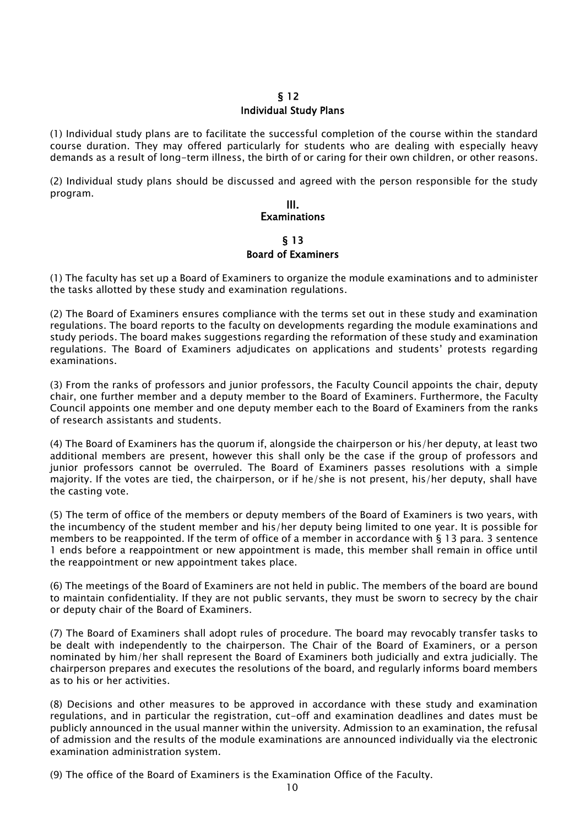#### § 12 Individual Study Plans

(1) Individual study plans are to facilitate the successful completion of the course within the standard course duration. They may offered particularly for students who are dealing with especially heavy demands as a result of long-term illness, the birth of or caring for their own children, or other reasons.

(2) Individual study plans should be discussed and agreed with the person responsible for the study program.

## III. **Examinations**

§ 13 Board of Examiners

(1) The faculty has set up a Board of Examiners to organize the module examinations and to administer the tasks allotted by these study and examination regulations.

(2) The Board of Examiners ensures compliance with the terms set out in these study and examination regulations. The board reports to the faculty on developments regarding the module examinations and study periods. The board makes suggestions regarding the reformation of these study and examination regulations. The Board of Examiners adjudicates on applications and students' protests regarding examinations.

(3) From the ranks of professors and junior professors, the Faculty Council appoints the chair, deputy chair, one further member and a deputy member to the Board of Examiners. Furthermore, the Faculty Council appoints one member and one deputy member each to the Board of Examiners from the ranks of research assistants and students.

(4) The Board of Examiners has the quorum if, alongside the chairperson or his/her deputy, at least two additional members are present, however this shall only be the case if the group of professors and junior professors cannot be overruled. The Board of Examiners passes resolutions with a simple majority. If the votes are tied, the chairperson, or if he/she is not present, his/her deputy, shall have the casting vote.

(5) The term of office of the members or deputy members of the Board of Examiners is two years, with the incumbency of the student member and his/her deputy being limited to one year. It is possible for members to be reappointed. If the term of office of a member in accordance with § 13 para. 3 sentence 1 ends before a reappointment or new appointment is made, this member shall remain in office until the reappointment or new appointment takes place.

(6) The meetings of the Board of Examiners are not held in public. The members of the board are bound to maintain confidentiality. If they are not public servants, they must be sworn to secrecy by the chair or deputy chair of the Board of Examiners.

(7) The Board of Examiners shall adopt rules of procedure. The board may revocably transfer tasks to be dealt with independently to the chairperson. The Chair of the Board of Examiners, or a person nominated by him/her shall represent the Board of Examiners both judicially and extra judicially. The chairperson prepares and executes the resolutions of the board, and regularly informs board members as to his or her activities.

(8) Decisions and other measures to be approved in accordance with these study and examination regulations, and in particular the registration, cut-off and examination deadlines and dates must be publicly announced in the usual manner within the university. Admission to an examination, the refusal of admission and the results of the module examinations are announced individually via the electronic examination administration system.

(9) The office of the Board of Examiners is the Examination Office of the Faculty.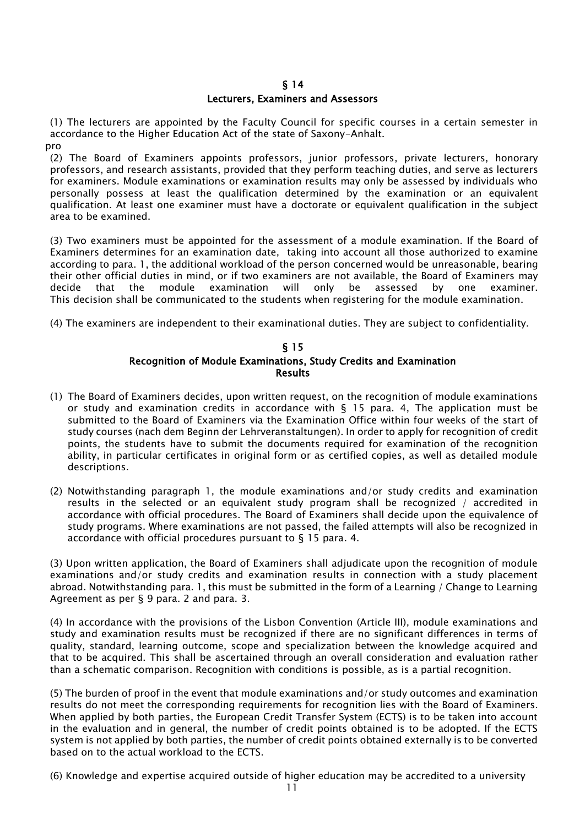#### § 14

#### Lecturers, Examiners and Assessors

(1) The lecturers are appointed by the Faculty Council for specific courses in a certain semester in accordance to the Higher Education Act of the state of Saxony-Anhalt.

pro

(2) The Board of Examiners appoints professors, junior professors, private lecturers, honorary professors, and research assistants, provided that they perform teaching duties, and serve as lecturers for examiners. Module examinations or examination results may only be assessed by individuals who personally possess at least the qualification determined by the examination or an equivalent qualification. At least one examiner must have a doctorate or equivalent qualification in the subject area to be examined.

(3) Two examiners must be appointed for the assessment of a module examination. If the Board of Examiners determines for an examination date, taking into account all those authorized to examine according to para. 1, the additional workload of the person concerned would be unreasonable, bearing their other official duties in mind, or if two examiners are not available, the Board of Examiners may decide that the module examination will only be assessed by one examiner. This decision shall be communicated to the students when registering for the module examination.

(4) The examiners are independent to their examinational duties. They are subject to confidentiality.

#### § 15 Recognition of Module Examinations, Study Credits and Examination Results

- (1) The Board of Examiners decides, upon written request, on the recognition of module examinations or study and examination credits in accordance with  $\S$  15 para. 4, The application must be submitted to the Board of Examiners via the Examination Office within four weeks of the start of study courses (nach dem Beginn der Lehrveranstaltungen). In order to apply for recognition of credit points, the students have to submit the documents required for examination of the recognition ability, in particular certificates in original form or as certified copies, as well as detailed module descriptions.
- (2) Notwithstanding paragraph 1, the module examinations and/or study credits and examination results in the selected or an equivalent study program shall be recognized / accredited in accordance with official procedures. The Board of Examiners shall decide upon the equivalence of study programs. Where examinations are not passed, the failed attempts will also be recognized in accordance with official procedures pursuant to § 15 para. 4.

(3) Upon written application, the Board of Examiners shall adjudicate upon the recognition of module examinations and/or study credits and examination results in connection with a study placement abroad. Notwithstanding para. 1, this must be submitted in the form of a Learning / Change to Learning Agreement as per § 9 para. 2 and para. 3.

(4) In accordance with the provisions of the Lisbon Convention (Article III), module examinations and study and examination results must be recognized if there are no significant differences in terms of quality, standard, learning outcome, scope and specialization between the knowledge acquired and that to be acquired. This shall be ascertained through an overall consideration and evaluation rather than a schematic comparison. Recognition with conditions is possible, as is a partial recognition.

(5) The burden of proof in the event that module examinations and/or study outcomes and examination results do not meet the corresponding requirements for recognition lies with the Board of Examiners. When applied by both parties, the European Credit Transfer System (ECTS) is to be taken into account in the evaluation and in general, the number of credit points obtained is to be adopted. If the ECTS system is not applied by both parties, the number of credit points obtained externally is to be converted based on to the actual workload to the ECTS.

(6) Knowledge and expertise acquired outside of higher education may be accredited to a university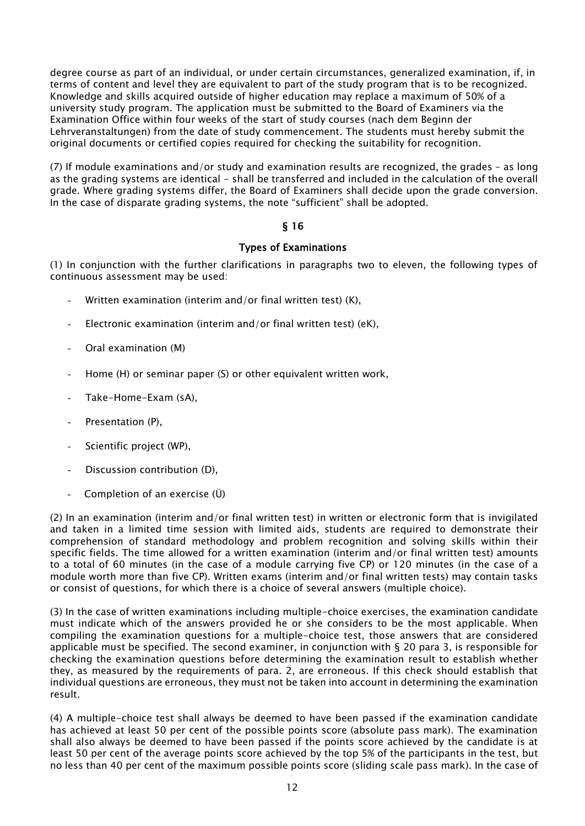degree course as part of an individual, or under certain circumstances, generalized examination, if, in terms of content and level they are equivalent to part of the study program that is to be recognized. Knowledge and skills acquired outside of higher education may replace a maximum of 50% of a university study program. The application must be submitted to the Board of Examiners via the Examination Office within four weeks of the start of study courses (nach dem Beginn der Lehrveranstaltungen) from the date of study commencement. The students must hereby submit the original documents or certified copies required for checking the suitability for recognition.

(7) If module examinations and/or study and examination results are recognized, the grades – as long as the grading systems are identical - shall be transferred and included in the calculation of the overall grade. Where grading systems differ, the Board of Examiners shall decide upon the grade conversion. In the case of disparate grading systems, the note "sufficient" shall be adopted.

#### § 16

#### Types of Examinations

(1) In conjunction with the further clarifications in paragraphs two to eleven, the following types of continuous assessment may be used:

- Written examination (interim and/or final written test)  $(K)$ ,
- Electronic examination (interim and/or final written test) (eK),
- Oral examination (M)
- Home (H) or seminar paper (S) or other equivalent written work,
- Take-Home-Exam (sA),
- Presentation (P),
- Scientific project (WP),
- Discussion contribution (D),
- Completion of an exercise (Ü)

(2) In an examination (interim and/or final written test) in written or electronic form that is invigilated and taken in a limited time session with limited aids, students are required to demonstrate their comprehension of standard methodology and problem recognition and solving skills within their specific fields. The time allowed for a written examination (interim and/or final written test) amounts to a total of 60 minutes (in the case of a module carrying five CP) or 120 minutes (in the case of a module worth more than five CP). Written exams (interim and/or final written tests) may contain tasks or consist of questions, for which there is a choice of several answers (multiple choice).

(3) In the case of written examinations including multiple-choice exercises, the examination candidate must indicate which of the answers provided he or she considers to be the most applicable. When compiling the examination questions for a multiple-choice test, those answers that are considered applicable must be specified. The second examiner, in conjunction with § 20 para 3, is responsible for checking the examination questions before determining the examination result to establish whether they, as measured by the requirements of para. 2, are erroneous. If this check should establish that individual questions are erroneous, they must not be taken into account in determining the examination result.

(4) A multiple-choice test shall always be deemed to have been passed if the examination candidate has achieved at least 50 per cent of the possible points score (absolute pass mark). The examination shall also always be deemed to have been passed if the points score achieved by the candidate is at least 50 per cent of the average points score achieved by the top 5% of the participants in the test, but no less than 40 per cent of the maximum possible points score (sliding scale pass mark). In the case of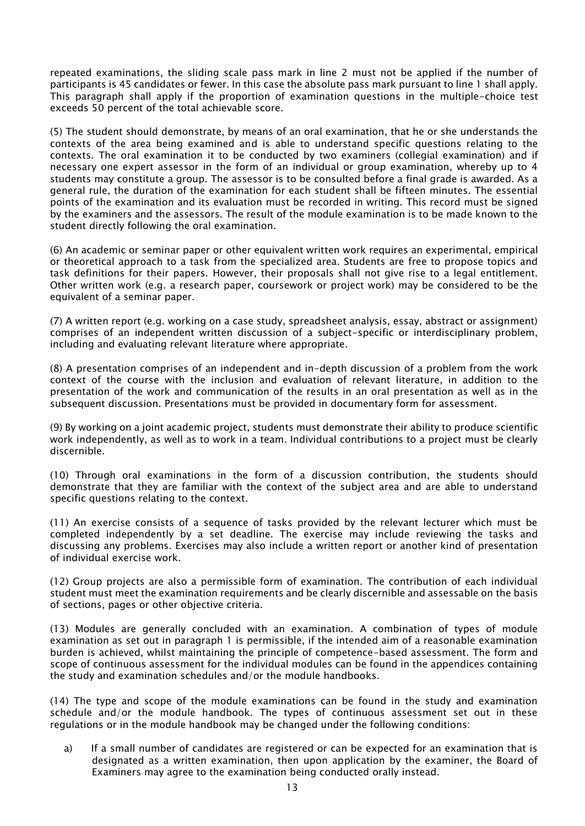repeated examinations, the sliding scale pass mark in line 2 must not be applied if the number of participants is 45 candidates or fewer. In this case the absolute pass mark pursuant to line 1 shall apply. This paragraph shall apply if the proportion of examination questions in the multiple-choice test exceeds 50 percent of the total achievable score.

(5) The student should demonstrate, by means of an oral examination, that he or she understands the contexts of the area being examined and is able to understand specific questions relating to the contexts. The oral examination it to be conducted by two examiners (collegial examination) and if necessary one expert assessor in the form of an individual or group examination, whereby up to 4 students may constitute a group. The assessor is to be consulted before a final grade is awarded. As a general rule, the duration of the examination for each student shall be fifteen minutes. The essential points of the examination and its evaluation must be recorded in writing. This record must be signed by the examiners and the assessors. The result of the module examination is to be made known to the student directly following the oral examination.

(6) An academic or seminar paper or other equivalent written work requires an experimental, empirical or theoretical approach to a task from the specialized area. Students are free to propose topics and task definitions for their papers. However, their proposals shall not give rise to a legal entitlement. Other written work (e.g. a research paper, coursework or project work) may be considered to be the equivalent of a seminar paper.

(7) A written report (e.g. working on a case study, spreadsheet analysis, essay, abstract or assignment) comprises of an independent written discussion of a subject-specific or interdisciplinary problem, including and evaluating relevant literature where appropriate.

(8) A presentation comprises of an independent and in-depth discussion of a problem from the work context of the course with the inclusion and evaluation of relevant literature, in addition to the presentation of the work and communication of the results in an oral presentation as well as in the subsequent discussion. Presentations must be provided in documentary form for assessment.

(9) By working on a joint academic project, students must demonstrate their ability to produce scientific work independently, as well as to work in a team. Individual contributions to a project must be clearly discernible.

(10) Through oral examinations in the form of a discussion contribution, the students should demonstrate that they are familiar with the context of the subject area and are able to understand specific questions relating to the context.

(11) An exercise consists of a sequence of tasks provided by the relevant lecturer which must be completed independently by a set deadline. The exercise may include reviewing the tasks and discussing any problems. Exercises may also include a written report or another kind of presentation of individual exercise work.

(12) Group projects are also a permissible form of examination. The contribution of each individual student must meet the examination requirements and be clearly discernible and assessable on the basis of sections, pages or other objective criteria.

(13) Modules are generally concluded with an examination. A combination of types of module examination as set out in paragraph 1 is permissible, if the intended aim of a reasonable examination burden is achieved, whilst maintaining the principle of competence-based assessment. The form and scope of continuous assessment for the individual modules can be found in the appendices containing the study and examination schedules and/or the module handbooks.

(14) The type and scope of the module examinations can be found in the study and examination schedule and/or the module handbook. The types of continuous assessment set out in these regulations or in the module handbook may be changed under the following conditions:

a) If a small number of candidates are registered or can be expected for an examination that is designated as a written examination, then upon application by the examiner, the Board of Examiners may agree to the examination being conducted orally instead.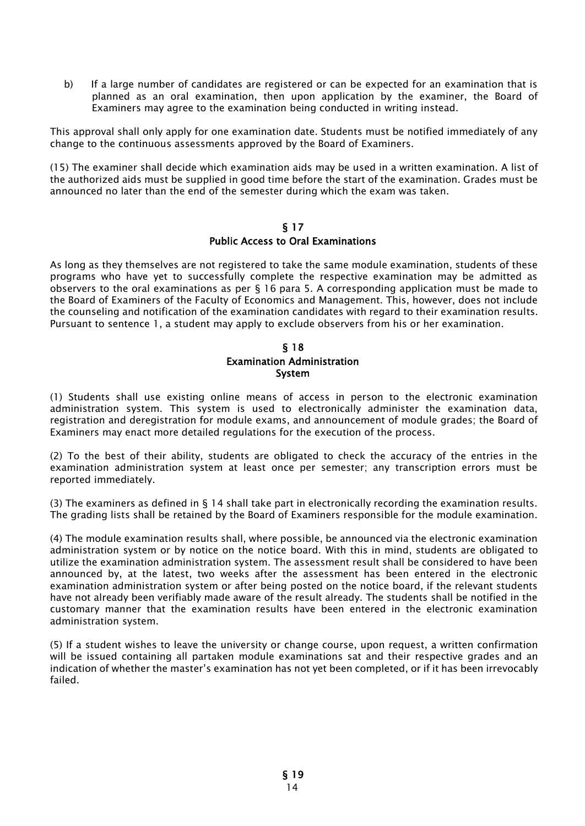b) If a large number of candidates are registered or can be expected for an examination that is planned as an oral examination, then upon application by the examiner, the Board of Examiners may agree to the examination being conducted in writing instead.

This approval shall only apply for one examination date. Students must be notified immediately of any change to the continuous assessments approved by the Board of Examiners.

(15) The examiner shall decide which examination aids may be used in a written examination. A list of the authorized aids must be supplied in good time before the start of the examination. Grades must be announced no later than the end of the semester during which the exam was taken.

#### § 17 Public Access to Oral Examinations

As long as they themselves are not registered to take the same module examination, students of these programs who have yet to successfully complete the respective examination may be admitted as observers to the oral examinations as per § 16 para 5. A corresponding application must be made to the Board of Examiners of the Faculty of Economics and Management. This, however, does not include the counseling and notification of the examination candidates with regard to their examination results. Pursuant to sentence 1, a student may apply to exclude observers from his or her examination.

#### § 18 Examination Administration System

(1) Students shall use existing online means of access in person to the electronic examination administration system. This system is used to electronically administer the examination data, registration and deregistration for module exams, and announcement of module grades; the Board of Examiners may enact more detailed regulations for the execution of the process.

(2) To the best of their ability, students are obligated to check the accuracy of the entries in the examination administration system at least once per semester; any transcription errors must be reported immediately.

(3) The examiners as defined in § 14 shall take part in electronically recording the examination results. The grading lists shall be retained by the Board of Examiners responsible for the module examination.

(4) The module examination results shall, where possible, be announced via the electronic examination administration system or by notice on the notice board. With this in mind, students are obligated to utilize the examination administration system. The assessment result shall be considered to have been announced by, at the latest, two weeks after the assessment has been entered in the electronic examination administration system or after being posted on the notice board, if the relevant students have not already been verifiably made aware of the result already. The students shall be notified in the customary manner that the examination results have been entered in the electronic examination administration system.

(5) If a student wishes to leave the university or change course, upon request, a written confirmation will be issued containing all partaken module examinations sat and their respective grades and an indication of whether the master's examination has not yet been completed, or if it has been irrevocably failed.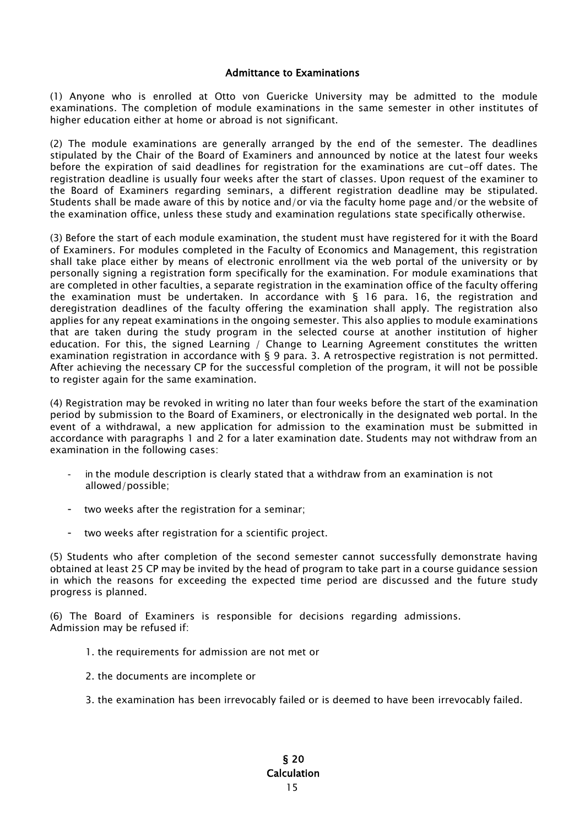#### Admittance to Examinations

(1) Anyone who is enrolled at Otto von Guericke University may be admitted to the module examinations. The completion of module examinations in the same semester in other institutes of higher education either at home or abroad is not significant.

(2) The module examinations are generally arranged by the end of the semester. The deadlines stipulated by the Chair of the Board of Examiners and announced by notice at the latest four weeks before the expiration of said deadlines for registration for the examinations are cut-off dates. The registration deadline is usually four weeks after the start of classes. Upon request of the examiner to the Board of Examiners regarding seminars, a different registration deadline may be stipulated. Students shall be made aware of this by notice and/or via the faculty home page and/or the website of the examination office, unless these study and examination regulations state specifically otherwise.

(3) Before the start of each module examination, the student must have registered for it with the Board of Examiners. For modules completed in the Faculty of Economics and Management, this registration shall take place either by means of electronic enrollment via the web portal of the university or by personally signing a registration form specifically for the examination. For module examinations that are completed in other faculties, a separate registration in the examination office of the faculty offering the examination must be undertaken. In accordance with § 16 para. 16, the registration and deregistration deadlines of the faculty offering the examination shall apply. The registration also applies for any repeat examinations in the ongoing semester. This also applies to module examinations that are taken during the study program in the selected course at another institution of higher education. For this, the signed Learning / Change to Learning Agreement constitutes the written examination registration in accordance with § 9 para. 3. A retrospective registration is not permitted. After achieving the necessary CP for the successful completion of the program, it will not be possible to register again for the same examination.

(4) Registration may be revoked in writing no later than four weeks before the start of the examination period by submission to the Board of Examiners, or electronically in the designated web portal. In the event of a withdrawal, a new application for admission to the examination must be submitted in accordance with paragraphs 1 and 2 for a later examination date. Students may not withdraw from an examination in the following cases:

- in the module description is clearly stated that a withdraw from an examination is not allowed/possible;
- two weeks after the registration for a seminar;
- two weeks after registration for a scientific project.

(5) Students who after completion of the second semester cannot successfully demonstrate having obtained at least 25 CP may be invited by the head of program to take part in a course guidance session in which the reasons for exceeding the expected time period are discussed and the future study progress is planned.

(6) The Board of Examiners is responsible for decisions regarding admissions. Admission may be refused if:

- 1. the requirements for admission are not met or
- 2. the documents are incomplete or
- 3. the examination has been irrevocably failed or is deemed to have been irrevocably failed.

#### 15 § 20 Calculation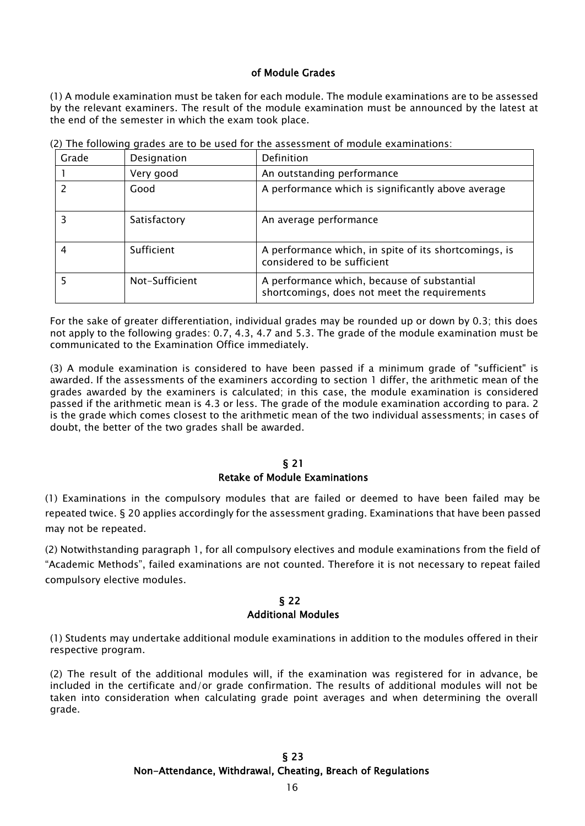#### of Module Grades

(1) A module examination must be taken for each module. The module examinations are to be assessed by the relevant examiners. The result of the module examination must be announced by the latest at the end of the semester in which the exam took place.

| Grade | Designation    | Definition                                                                                  |
|-------|----------------|---------------------------------------------------------------------------------------------|
|       | Very good      | An outstanding performance                                                                  |
|       | Good           | A performance which is significantly above average                                          |
|       | Satisfactory   | An average performance                                                                      |
|       | Sufficient     | A performance which, in spite of its shortcomings, is<br>considered to be sufficient        |
|       | Not-Sufficient | A performance which, because of substantial<br>shortcomings, does not meet the requirements |

(2) The following grades are to be used for the assessment of module examinations:

For the sake of greater differentiation, individual grades may be rounded up or down by 0.3; this does not apply to the following grades: 0.7, 4.3, 4.7 and 5.3. The grade of the module examination must be communicated to the Examination Office immediately.

(3) A module examination is considered to have been passed if a minimum grade of "sufficient" is awarded. If the assessments of the examiners according to section 1 differ, the arithmetic mean of the grades awarded by the examiners is calculated; in this case, the module examination is considered passed if the arithmetic mean is 4.3 or less. The grade of the module examination according to para. 2 is the grade which comes closest to the arithmetic mean of the two individual assessments; in cases of doubt, the better of the two grades shall be awarded.

## § 21

#### Retake of Module Examinations

(1) Examinations in the compulsory modules that are failed or deemed to have been failed may be repeated twice. § 20 applies accordingly for the assessment grading. Examinations that have been passed may not be repeated.

(2) Notwithstanding paragraph 1, for all compulsory electives and module examinations from the field of "Academic Methods", failed examinations are not counted. Therefore it is not necessary to repeat failed compulsory elective modules.

#### § 22 Additional Modules

(1) Students may undertake additional module examinations in addition to the modules offered in their respective program.

(2) The result of the additional modules will, if the examination was registered for in advance, be included in the certificate and/or grade confirmation. The results of additional modules will not be taken into consideration when calculating grade point averages and when determining the overall grade.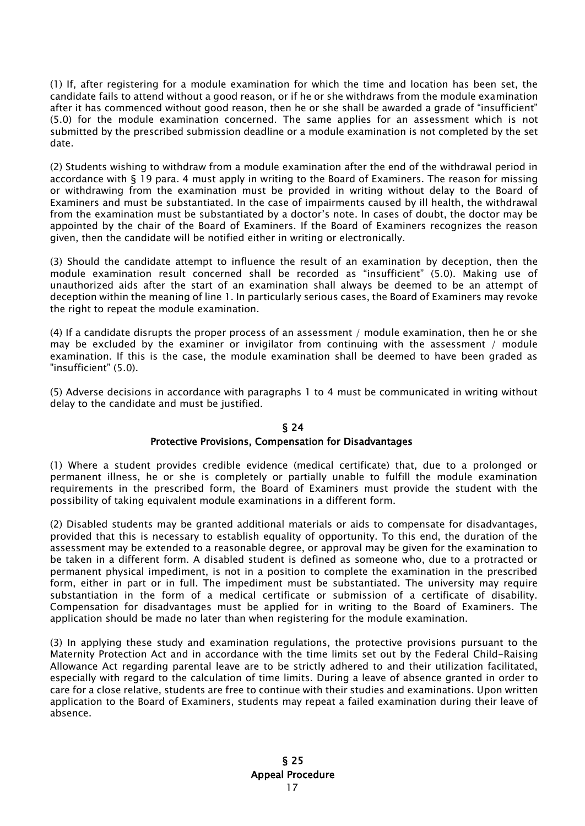(1) If, after registering for a module examination for which the time and location has been set, the candidate fails to attend without a good reason, or if he or she withdraws from the module examination after it has commenced without good reason, then he or she shall be awarded a grade of "insufficient" (5.0) for the module examination concerned. The same applies for an assessment which is not submitted by the prescribed submission deadline or a module examination is not completed by the set date.

(2) Students wishing to withdraw from a module examination after the end of the withdrawal period in accordance with § 19 para. 4 must apply in writing to the Board of Examiners. The reason for missing or withdrawing from the examination must be provided in writing without delay to the Board of Examiners and must be substantiated. In the case of impairments caused by ill health, the withdrawal from the examination must be substantiated by a doctor's note. In cases of doubt, the doctor may be appointed by the chair of the Board of Examiners. If the Board of Examiners recognizes the reason given, then the candidate will be notified either in writing or electronically.

(3) Should the candidate attempt to influence the result of an examination by deception, then the module examination result concerned shall be recorded as "insufficient" (5.0). Making use of unauthorized aids after the start of an examination shall always be deemed to be an attempt of deception within the meaning of line 1. In particularly serious cases, the Board of Examiners may revoke the right to repeat the module examination.

(4) If a candidate disrupts the proper process of an assessment / module examination, then he or she may be excluded by the examiner or invigilator from continuing with the assessment / module examination. If this is the case, the module examination shall be deemed to have been graded as "insufficient" (5.0).

(5) Adverse decisions in accordance with paragraphs 1 to 4 must be communicated in writing without delay to the candidate and must be justified.

#### § 24 Protective Provisions, Compensation for Disadvantages

(1) Where a student provides credible evidence (medical certificate) that, due to a prolonged or permanent illness, he or she is completely or partially unable to fulfill the module examination requirements in the prescribed form, the Board of Examiners must provide the student with the possibility of taking equivalent module examinations in a different form.

(2) Disabled students may be granted additional materials or aids to compensate for disadvantages, provided that this is necessary to establish equality of opportunity. To this end, the duration of the assessment may be extended to a reasonable degree, or approval may be given for the examination to be taken in a different form. A disabled student is defined as someone who, due to a protracted or permanent physical impediment, is not in a position to complete the examination in the prescribed form, either in part or in full. The impediment must be substantiated. The university may require substantiation in the form of a medical certificate or submission of a certificate of disability. Compensation for disadvantages must be applied for in writing to the Board of Examiners. The application should be made no later than when registering for the module examination.

(3) In applying these study and examination regulations, the protective provisions pursuant to the Maternity Protection Act and in accordance with the time limits set out by the Federal Child-Raising Allowance Act regarding parental leave are to be strictly adhered to and their utilization facilitated, especially with regard to the calculation of time limits. During a leave of absence granted in order to care for a close relative, students are free to continue with their studies and examinations. Upon written application to the Board of Examiners, students may repeat a failed examination during their leave of absence.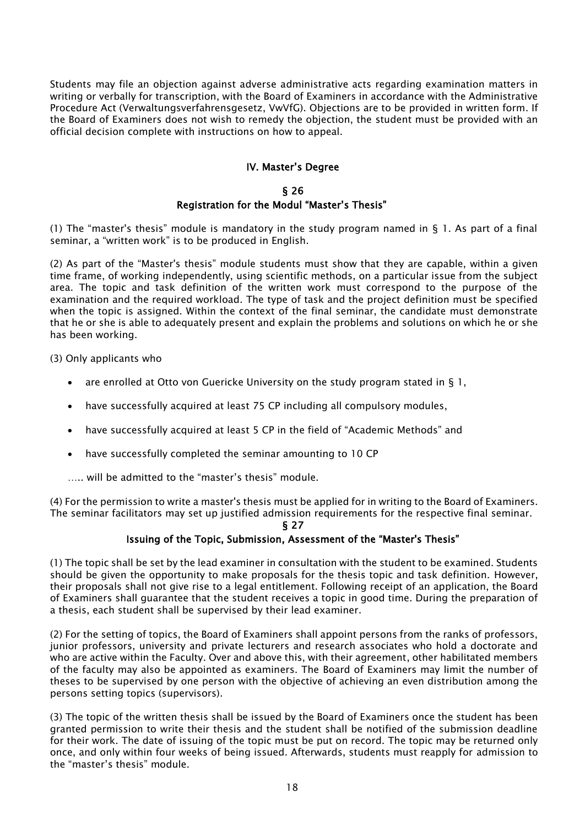Students may file an objection against adverse administrative acts regarding examination matters in writing or verbally for transcription, with the Board of Examiners in accordance with the Administrative Procedure Act (Verwaltungsverfahrensgesetz, VwVfG). Objections are to be provided in written form. If the Board of Examiners does not wish to remedy the objection, the student must be provided with an official decision complete with instructions on how to appeal.

#### IV. Master's Degree

#### § 26 Registration for the Modul "Master's Thesis"

(1) The "master's thesis" module is mandatory in the study program named in  $\S$  1. As part of a final seminar, a "written work" is to be produced in English.

(2) As part of the "Master's thesis" module students must show that they are capable, within a given time frame, of working independently, using scientific methods, on a particular issue from the subject area. The topic and task definition of the written work must correspond to the purpose of the examination and the required workload. The type of task and the project definition must be specified when the topic is assigned. Within the context of the final seminar, the candidate must demonstrate that he or she is able to adequately present and explain the problems and solutions on which he or she has been working.

(3) Only applicants who

- are enrolled at Otto von Guericke University on the study program stated in  $\S$  1,
- have successfully acquired at least 75 CP including all compulsory modules,
- have successfully acquired at least 5 CP in the field of "Academic Methods" and
- have successfully completed the seminar amounting to 10 CP
- ….. will be admitted to the "master's thesis" module.

(4) For the permission to write a master's thesis must be applied for in writing to the Board of Examiners. The seminar facilitators may set up justified admission requirements for the respective final seminar.

#### § 27

#### Issuing of the Topic, Submission, Assessment of the "Master's Thesis"

(1) The topic shall be set by the lead examiner in consultation with the student to be examined. Students should be given the opportunity to make proposals for the thesis topic and task definition. However, their proposals shall not give rise to a legal entitlement. Following receipt of an application, the Board of Examiners shall guarantee that the student receives a topic in good time. During the preparation of a thesis, each student shall be supervised by their lead examiner.

(2) For the setting of topics, the Board of Examiners shall appoint persons from the ranks of professors, junior professors, university and private lecturers and research associates who hold a doctorate and who are active within the Faculty. Over and above this, with their agreement, other habilitated members of the faculty may also be appointed as examiners. The Board of Examiners may limit the number of theses to be supervised by one person with the objective of achieving an even distribution among the persons setting topics (supervisors).

(3) The topic of the written thesis shall be issued by the Board of Examiners once the student has been granted permission to write their thesis and the student shall be notified of the submission deadline for their work. The date of issuing of the topic must be put on record. The topic may be returned only once, and only within four weeks of being issued. Afterwards, students must reapply for admission to the "master's thesis" module.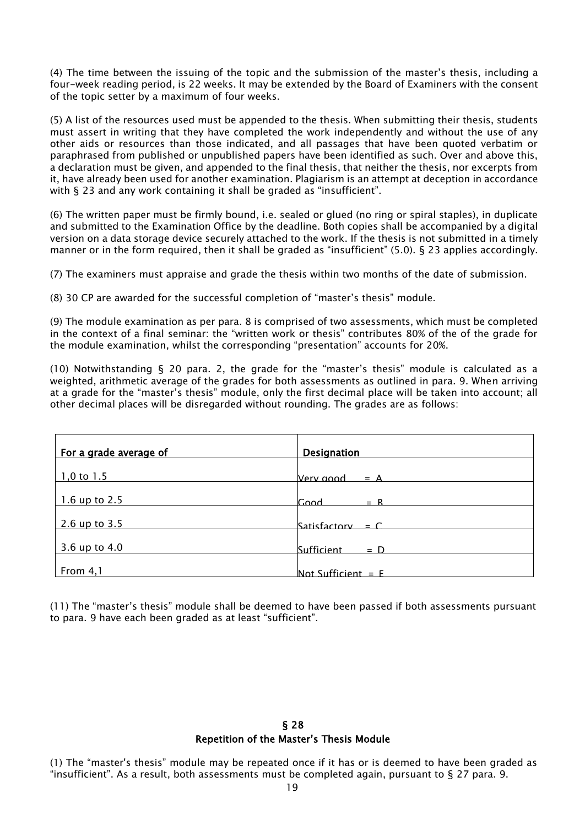(4) The time between the issuing of the topic and the submission of the master's thesis, including a four-week reading period, is 22 weeks. It may be extended by the Board of Examiners with the consent of the topic setter by a maximum of four weeks.

(5) A list of the resources used must be appended to the thesis. When submitting their thesis, students must assert in writing that they have completed the work independently and without the use of any other aids or resources than those indicated, and all passages that have been quoted verbatim or paraphrased from published or unpublished papers have been identified as such. Over and above this, a declaration must be given, and appended to the final thesis, that neither the thesis, nor excerpts from it, have already been used for another examination. Plagiarism is an attempt at deception in accordance with § 23 and any work containing it shall be graded as "insufficient".

(6) The written paper must be firmly bound, i.e. sealed or glued (no ring or spiral staples), in duplicate and submitted to the Examination Office by the deadline. Both copies shall be accompanied by a digital version on a data storage device securely attached to the work. If the thesis is not submitted in a timely manner or in the form required, then it shall be graded as "insufficient" (5.0). § 23 applies accordingly.

(7) The examiners must appraise and grade the thesis within two months of the date of submission.

(8) 30 CP are awarded for the successful completion of "master's thesis" module.

(9) The module examination as per para. 8 is comprised of two assessments, which must be completed in the context of a final seminar: the "written work or thesis" contributes 80% of the of the grade for the module examination, whilst the corresponding "presentation" accounts for 20%.

(10) Notwithstanding § 20 para. 2, the grade for the "master's thesis" module is calculated as a weighted, arithmetic average of the grades for both assessments as outlined in para. 9. When arriving at a grade for the "master's thesis" module, only the first decimal place will be taken into account; all other decimal places will be disregarded without rounding. The grades are as follows:

| For a grade average of | <b>Designation</b>         |
|------------------------|----------------------------|
| $1,0$ to $1.5$         | Very annd<br>$= A$         |
| 1.6 up to 2.5          | $= R$<br>Good              |
| 2.6 up to 3.5          | Satisfactory = $C$         |
| 3.6 up to 4.0          | <b>Sufficient</b><br>$= D$ |
| From 4,1               | Not Sufficient $=$ F       |

(11) The "master's thesis" module shall be deemed to have been passed if both assessments pursuant to para. 9 have each been graded as at least "sufficient".

#### § 28 Repetition of the Master's Thesis Module

(1) The "master's thesis" module may be repeated once if it has or is deemed to have been graded as "insufficient". As a result, both assessments must be completed again, pursuant to § 27 para. 9.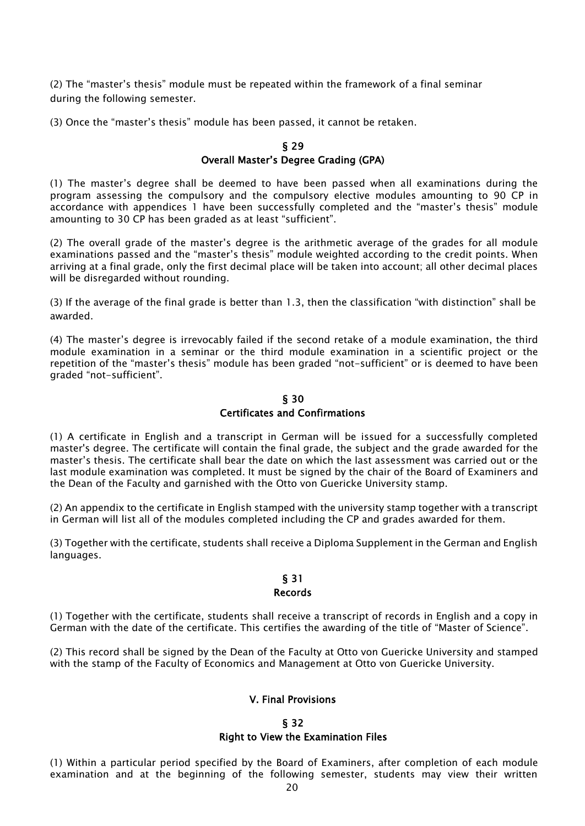(2) The "master's thesis" module must be repeated within the framework of a final seminar during the following semester.

(3) Once the "master's thesis" module has been passed, it cannot be retaken.

#### § 29 Overall Master's Degree Grading (GPA)

(1) The master's degree shall be deemed to have been passed when all examinations during the program assessing the compulsory and the compulsory elective modules amounting to 90 CP in accordance with appendices 1 have been successfully completed and the "master's thesis" module amounting to 30 CP has been graded as at least "sufficient".

(2) The overall grade of the master's degree is the arithmetic average of the grades for all module examinations passed and the "master's thesis" module weighted according to the credit points. When arriving at a final grade, only the first decimal place will be taken into account; all other decimal places will be disregarded without rounding.

(3) If the average of the final grade is better than 1.3, then the classification "with distinction" shall be awarded.

(4) The master's degree is irrevocably failed if the second retake of a module examination, the third module examination in a seminar or the third module examination in a scientific project or the repetition of the "master's thesis" module has been graded "not-sufficient" or is deemed to have been graded "not-sufficient".

#### § 30 Certificates and Confirmations

(1) A certificate in English and a transcript in German will be issued for a successfully completed master's degree. The certificate will contain the final grade, the subject and the grade awarded for the master's thesis. The certificate shall bear the date on which the last assessment was carried out or the last module examination was completed. It must be signed by the chair of the Board of Examiners and the Dean of the Faculty and garnished with the Otto von Guericke University stamp.

(2) An appendix to the certificate in English stamped with the university stamp together with a transcript in German will list all of the modules completed including the CP and grades awarded for them.

(3) Together with the certificate, students shall receive a Diploma Supplement in the German and English languages.

#### § 31 Records

(1) Together with the certificate, students shall receive a transcript of records in English and a copy in German with the date of the certificate. This certifies the awarding of the title of "Master of Science".

(2) This record shall be signed by the Dean of the Faculty at Otto von Guericke University and stamped with the stamp of the Faculty of Economics and Management at Otto von Guericke University.

#### V. Final Provisions

#### § 32 Right to View the Examination Files

(1) Within a particular period specified by the Board of Examiners, after completion of each module examination and at the beginning of the following semester, students may view their written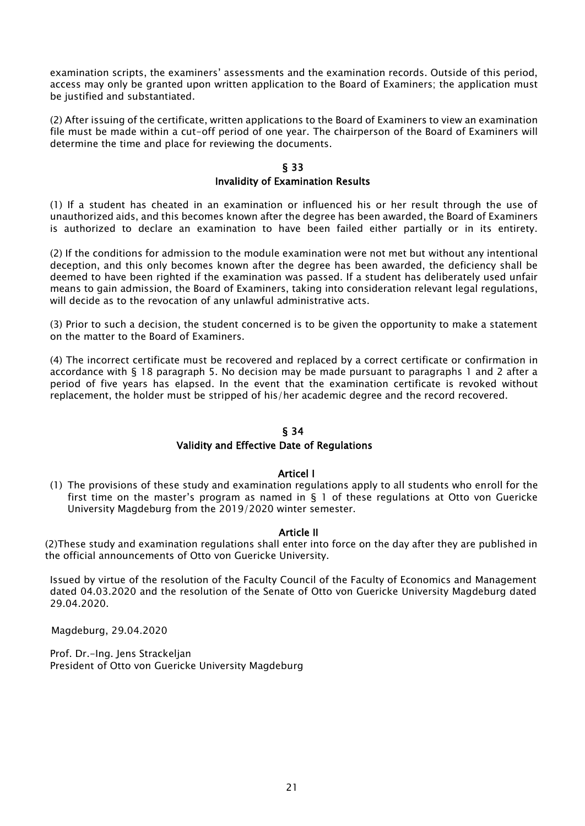examination scripts, the examiners' assessments and the examination records. Outside of this period, access may only be granted upon written application to the Board of Examiners; the application must be justified and substantiated.

(2) After issuing of the certificate, written applications to the Board of Examiners to view an examination file must be made within a cut-off period of one year. The chairperson of the Board of Examiners will determine the time and place for reviewing the documents.

#### § 33

#### Invalidity of Examination Results

(1) If a student has cheated in an examination or influenced his or her result through the use of unauthorized aids, and this becomes known after the degree has been awarded, the Board of Examiners is authorized to declare an examination to have been failed either partially or in its entirety.

(2) If the conditions for admission to the module examination were not met but without any intentional deception, and this only becomes known after the degree has been awarded, the deficiency shall be deemed to have been righted if the examination was passed. If a student has deliberately used unfair means to gain admission, the Board of Examiners, taking into consideration relevant legal regulations, will decide as to the revocation of any unlawful administrative acts.

(3) Prior to such a decision, the student concerned is to be given the opportunity to make a statement on the matter to the Board of Examiners.

(4) The incorrect certificate must be recovered and replaced by a correct certificate or confirmation in accordance with § 18 paragraph 5. No decision may be made pursuant to paragraphs 1 and 2 after a period of five years has elapsed. In the event that the examination certificate is revoked without replacement, the holder must be stripped of his/her academic degree and the record recovered.

#### § 34

#### Validity and Effective Date of Regulations

#### Articel I

(1) The provisions of these study and examination regulations apply to all students who enroll for the first time on the master's program as named in  $\S$  1 of these regulations at Otto von Guericke University Magdeburg from the 2019/2020 winter semester.

#### Article II

(2)These study and examination regulations shall enter into force on the day after they are published in the official announcements of Otto von Guericke University.

Issued by virtue of the resolution of the Faculty Council of the Faculty of Economics and Management dated 04.03.2020 and the resolution of the Senate of Otto von Guericke University Magdeburg dated 29.04.2020.

Magdeburg, 29.04.2020

Prof. Dr.-Ing. Jens Strackeljan President of Otto von Guericke University Magdeburg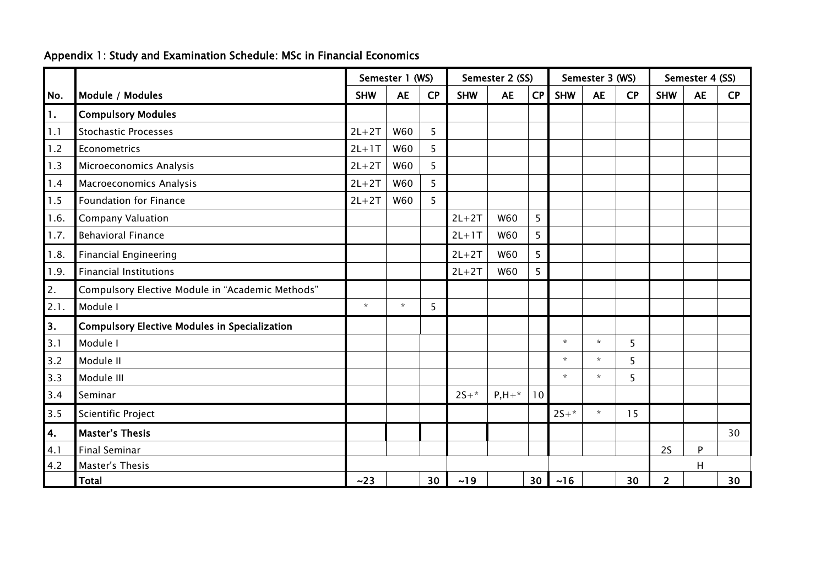|  |  |  | Appendix 1: Study and Examination Schedule: MSc in Financial Economics |  |  |  |
|--|--|--|------------------------------------------------------------------------|--|--|--|
|--|--|--|------------------------------------------------------------------------|--|--|--|

|                |                                                      | Semester 2 (SS)<br>Semester 1 (WS) |            |    |            |            | Semester 3 (WS) |            | Semester 4 (SS) |           |                |           |    |
|----------------|------------------------------------------------------|------------------------------------|------------|----|------------|------------|-----------------|------------|-----------------|-----------|----------------|-----------|----|
| No.            | Module / Modules                                     | <b>SHW</b>                         | <b>AE</b>  | CP | <b>SHW</b> | <b>AE</b>  | CP              | <b>SHW</b> | <b>AE</b>       | <b>CP</b> | <b>SHW</b>     | <b>AE</b> | CP |
| $\mathbf{1}$ . | <b>Compulsory Modules</b>                            |                                    |            |    |            |            |                 |            |                 |           |                |           |    |
| 1.1            | <b>Stochastic Processes</b>                          | $2L+2T$                            | W60        | 5  |            |            |                 |            |                 |           |                |           |    |
| 1.2            | Econometrics                                         | $2L+1T$                            | W60        | 5  |            |            |                 |            |                 |           |                |           |    |
| 1.3            | Microeconomics Analysis                              | $2L+2T$                            | W60        | 5  |            |            |                 |            |                 |           |                |           |    |
| 1.4            | <b>Macroeconomics Analysis</b>                       | $2L+2T$                            | <b>W60</b> | 5  |            |            |                 |            |                 |           |                |           |    |
| 1.5            | <b>Foundation for Finance</b>                        | $2L+2T$                            | W60        | 5  |            |            |                 |            |                 |           |                |           |    |
| 1.6.           | <b>Company Valuation</b>                             |                                    |            |    | $2L+2T$    | <b>W60</b> | 5               |            |                 |           |                |           |    |
| 1.7.           | <b>Behavioral Finance</b>                            |                                    |            |    | $2L+1T$    | W60        | 5               |            |                 |           |                |           |    |
| 1.8.           | <b>Financial Engineering</b>                         |                                    |            |    | $2L+2T$    | W60        | 5               |            |                 |           |                |           |    |
| 1.9.           | <b>Financial Institutions</b>                        |                                    |            |    | $2L+2T$    | W60        | 5               |            |                 |           |                |           |    |
| 2.             | Compulsory Elective Module in "Academic Methods"     |                                    |            |    |            |            |                 |            |                 |           |                |           |    |
| 2.1.           | Module I                                             | $\star$                            | $\star$    | 5  |            |            |                 |            |                 |           |                |           |    |
| 3.             | <b>Compulsory Elective Modules in Specialization</b> |                                    |            |    |            |            |                 |            |                 |           |                |           |    |
| 3.1            | Module I                                             |                                    |            |    |            |            |                 | $\star$    | $\star$         | 5         |                |           |    |
| 3.2            | Module II                                            |                                    |            |    |            |            |                 | $\star$    | $\star$         | 5         |                |           |    |
| 3.3            | Module III                                           |                                    |            |    |            |            |                 | $\star$    | $\star$         | 5         |                |           |    |
| 3.4            | Seminar                                              |                                    |            |    | $2S+*$     | $P, H + *$ | 10              |            |                 |           |                |           |    |
| 3.5            | Scientific Project                                   |                                    |            |    |            |            |                 | $25+*$     | $\star$         | 15        |                |           |    |
| 4.             | <b>Master's Thesis</b>                               |                                    |            |    |            |            |                 |            |                 |           |                |           | 30 |
| 4.1            | <b>Final Seminar</b>                                 |                                    |            |    |            |            |                 |            |                 |           | 2S             | P         |    |
| 4.2            | Master's Thesis                                      |                                    |            |    |            |            |                 |            |                 |           |                | H         |    |
|                | <b>Total</b>                                         | ~23                                |            | 30 | ~19        |            | 30 <sup>1</sup> | $~16$      |                 | 30        | $\overline{2}$ |           | 30 |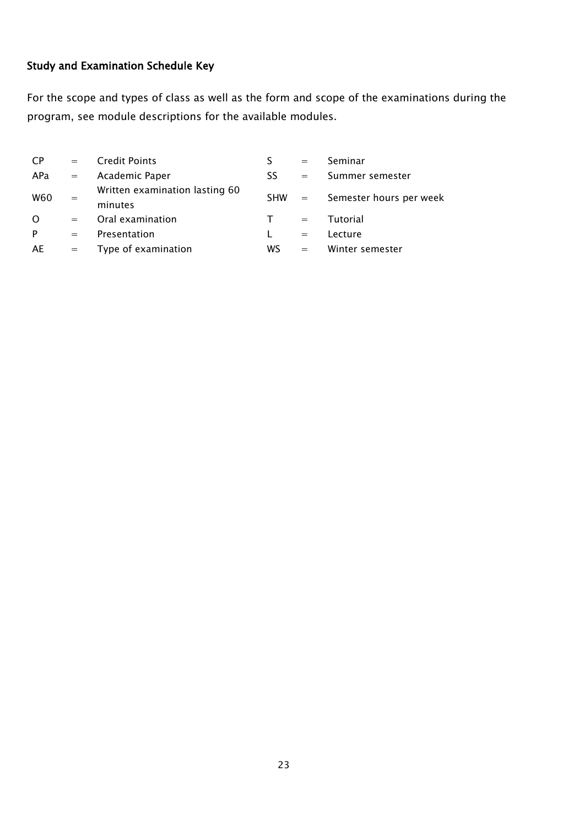## Study and Examination Schedule Key

For the scope and types of class as well as the form and scope of the examinations during the program, see module descriptions for the available modules.

| <b>CP</b> | $=$ | <b>Credit Points</b>                      |            | $=$               | Seminar                 |
|-----------|-----|-------------------------------------------|------------|-------------------|-------------------------|
| APa       | $=$ | Academic Paper                            | SS         | $=$               | Summer semester         |
| W60       | $=$ | Written examination lasting 60<br>minutes | <b>SHW</b> | $\alpha = \alpha$ | Semester hours per week |
| $\Omega$  | $=$ | Oral examination                          |            | $=$               | Tutorial                |
| P         | $=$ | Presentation                              |            | $=$               | Lecture                 |
| AE        | $=$ | Type of examination                       | WS         | $=$               | Winter semester         |